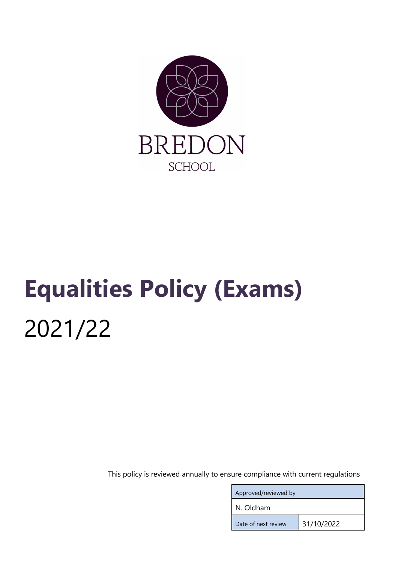

# Equalities Policy (Exams) 2021/22

This policy is reviewed annually to ensure compliance with current regulations

| Approved/reviewed by |            |  |
|----------------------|------------|--|
| N. Oldham            |            |  |
| Date of next review  | 31/10/2022 |  |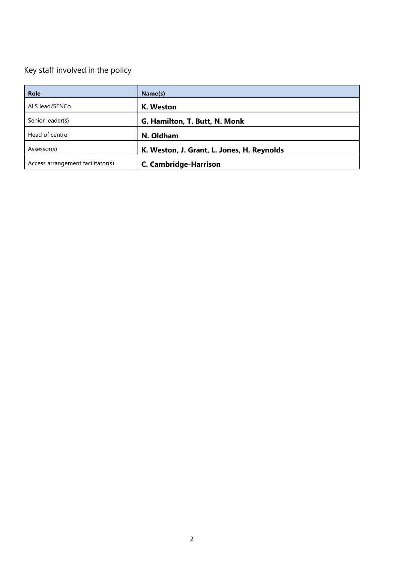# Key staff involved in the policy

| <b>Role</b>                       | Name(s)                                    |
|-----------------------------------|--------------------------------------------|
| ALS lead/SENCo                    | K. Weston                                  |
| Senior leader(s)                  | G. Hamilton, T. Butt, N. Monk              |
| Head of centre                    | N. Oldham                                  |
| Assessor(s)                       | K. Weston, J. Grant, L. Jones, H. Reynolds |
| Access arrangement facilitator(s) | <b>C. Cambridge-Harrison</b>               |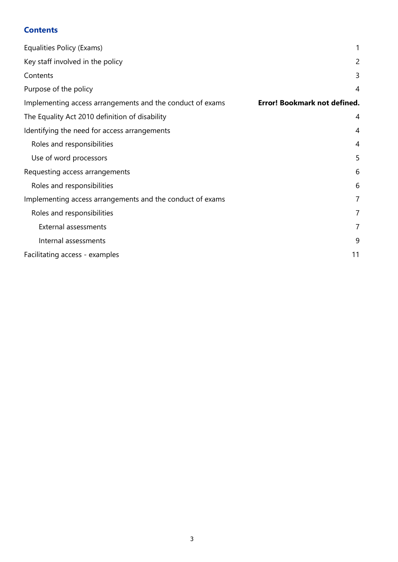# **Contents**

| Equalities Policy (Exams)                                 | 1                                   |
|-----------------------------------------------------------|-------------------------------------|
| Key staff involved in the policy                          | 2                                   |
| Contents                                                  | 3                                   |
| Purpose of the policy                                     | $\overline{4}$                      |
| Implementing access arrangements and the conduct of exams | <b>Error! Bookmark not defined.</b> |
| The Equality Act 2010 definition of disability            | 4                                   |
| Identifying the need for access arrangements              | 4                                   |
| Roles and responsibilities                                | 4                                   |
| Use of word processors                                    | 5                                   |
| Requesting access arrangements                            | 6                                   |
| Roles and responsibilities                                | 6                                   |
| Implementing access arrangements and the conduct of exams | $\overline{7}$                      |
| Roles and responsibilities                                | 7                                   |
| External assessments                                      | 7                                   |
| Internal assessments                                      | 9                                   |
| Facilitating access - examples                            | 11                                  |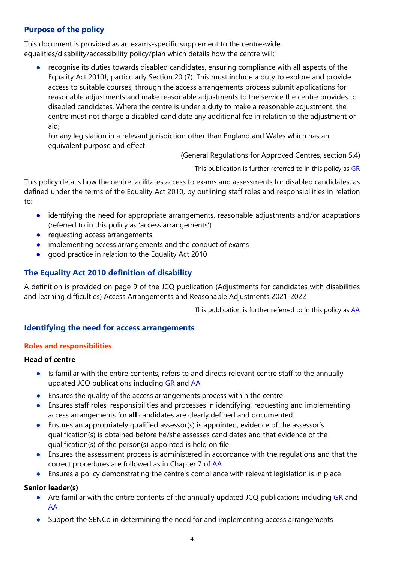# Purpose of the policy

This document is provided as an exams-specific supplement to the centre-wide equalities/disability/accessibility policy/plan which details how the centre will:

recognise its duties towards disabled candidates, ensuring compliance with all aspects of the Equality Act 2010†, particularly Section 20 (7). This must include a duty to explore and provide access to suitable courses, through the access arrangements process submit applications for reasonable adjustments and make reasonable adjustments to the service the centre provides to disabled candidates. Where the centre is under a duty to make a reasonable adjustment, the centre must not charge a disabled candidate any additional fee in relation to the adjustment or aid;

†or any legislation in a relevant jurisdiction other than England and Wales which has an equivalent purpose and effect

(General Regulations for Approved Centres, section 5.4)

This publication is further referred to in this policy as GR

This policy details how the centre facilitates access to exams and assessments for disabled candidates, as defined under the terms of the Equality Act 2010, by outlining staff roles and responsibilities in relation to:

- identifying the need for appropriate arrangements, reasonable adjustments and/or adaptations (referred to in this policy as 'access arrangements')
- requesting access arrangements
- implementing access arrangements and the conduct of exams
- good practice in relation to the Equality Act 2010

#### The Equality Act 2010 definition of disability

A definition is provided on page 9 of the JCQ publication (Adjustments for candidates with disabilities and learning difficulties) Access Arrangements and Reasonable Adjustments 2021-2022

This publication is further referred to in this policy as AA

#### Identifying the need for access arrangements

#### Roles and responsibilities

#### Head of centre

- Is familiar with the entire contents, refers to and directs relevant centre staff to the annually updated JCQ publications including GR and AA
- Ensures the quality of the access arrangements process within the centre
- Ensures staff roles, responsibilities and processes in identifying, requesting and implementing access arrangements for all candidates are clearly defined and documented
- Ensures an appropriately qualified assessor(s) is appointed, evidence of the assessor's qualification(s) is obtained before he/she assesses candidates and that evidence of the qualification(s) of the person(s) appointed is held on file
- Ensures the assessment process is administered in accordance with the regulations and that the correct procedures are followed as in Chapter 7 of AA
- Ensures a policy demonstrating the centre's compliance with relevant legislation is in place

#### Senior leader(s)

- Are familiar with the entire contents of the annually updated JCQ publications including GR and AA
- Support the SENCo in determining the need for and implementing access arrangements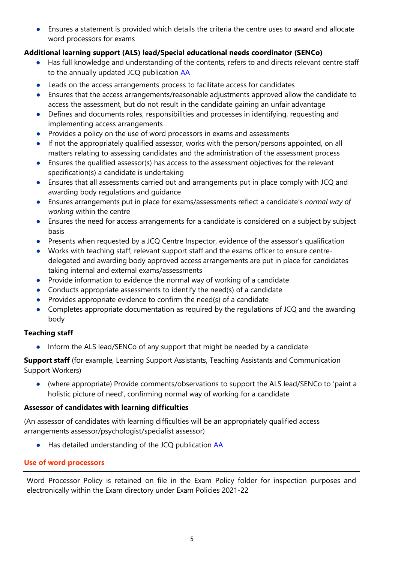● Ensures a statement is provided which details the criteria the centre uses to award and allocate word processors for exams

# Additional learning support (ALS) lead/Special educational needs coordinator (SENCo)

- Has full knowledge and understanding of the contents, refers to and directs relevant centre staff to the annually updated JCQ publication AA
- Leads on the access arrangements process to facilitate access for candidates
- Ensures that the access arrangements/reasonable adjustments approved allow the candidate to access the assessment, but do not result in the candidate gaining an unfair advantage
- Defines and documents roles, responsibilities and processes in identifying, requesting and implementing access arrangements
- Provides a policy on the use of word processors in exams and assessments
- If not the appropriately qualified assessor, works with the person/persons appointed, on all matters relating to assessing candidates and the administration of the assessment process
- Ensures the qualified assessor(s) has access to the assessment objectives for the relevant specification(s) a candidate is undertaking
- Ensures that all assessments carried out and arrangements put in place comply with JCQ and awarding body regulations and guidance
- Ensures arrangements put in place for exams/assessments reflect a candidate's normal way of working within the centre
- Ensures the need for access arrangements for a candidate is considered on a subject by subject basis
- Presents when requested by a JCQ Centre Inspector, evidence of the assessor's qualification
- Works with teaching staff, relevant support staff and the exams officer to ensure centredelegated and awarding body approved access arrangements are put in place for candidates taking internal and external exams/assessments
- Provide information to evidence the normal way of working of a candidate
- Conducts appropriate assessments to identify the need(s) of a candidate
- $\bullet$  Provides appropriate evidence to confirm the need(s) of a candidate
- Completes appropriate documentation as required by the regulations of JCQ and the awarding body

# Teaching staff

Inform the ALS lead/SENCo of any support that might be needed by a candidate

**Support staff** (for example, Learning Support Assistants, Teaching Assistants and Communication Support Workers)

● (where appropriate) Provide comments/observations to support the ALS lead/SENCo to 'paint a holistic picture of need', confirming normal way of working for a candidate

#### Assessor of candidates with learning difficulties

(An assessor of candidates with learning difficulties will be an appropriately qualified access arrangements assessor/psychologist/specialist assessor)

● Has detailed understanding of the JCQ publication AA

# Use of word processors

Word Processor Policy is retained on file in the Exam Policy folder for inspection purposes and electronically within the Exam directory under Exam Policies 2021-22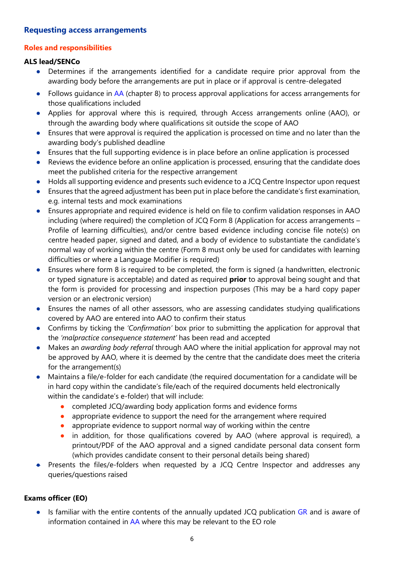#### Requesting access arrangements

#### Roles and responsibilities

#### ALS lead/SENCo

- Determines if the arrangements identified for a candidate require prior approval from the awarding body before the arrangements are put in place or if approval is centre-delegated
- Follows guidance in AA (chapter 8) to process approval applications for access arrangements for those qualifications included
- Applies for approval where this is required, through Access arrangements online (AAO), or through the awarding body where qualifications sit outside the scope of AAO
- Ensures that were approval is required the application is processed on time and no later than the awarding body's published deadline
- Ensures that the full supporting evidence is in place before an online application is processed
- Reviews the evidence before an online application is processed, ensuring that the candidate does meet the published criteria for the respective arrangement
- Holds all supporting evidence and presents such evidence to a JCQ Centre Inspector upon request
- Ensures that the agreed adjustment has been put in place before the candidate's first examination, e.g. internal tests and mock examinations
- Ensures appropriate and required evidence is held on file to confirm validation responses in AAO including (where required) the completion of JCQ Form 8 (Application for access arrangements – Profile of learning difficulties), and/or centre based evidence including concise file note(s) on centre headed paper, signed and dated, and a body of evidence to substantiate the candidate's normal way of working within the centre (Form 8 must only be used for candidates with learning difficulties or where a Language Modifier is required)
- Ensures where form 8 is required to be completed, the form is signed (a handwritten, electronic or typed signature is acceptable) and dated as required **prior** to approval being sought and that the form is provided for processing and inspection purposes (This may be a hard copy paper version or an electronic version)
- Ensures the names of all other assessors, who are assessing candidates studying qualifications covered by AAO are entered into AAO to confirm their status
- Confirms by ticking the 'Confirmation' box prior to submitting the application for approval that the 'malpractice consequence statement' has been read and accepted
- Makes an *awarding body referral* through AAO where the initial application for approval may not be approved by AAO, where it is deemed by the centre that the candidate does meet the criteria for the arrangement(s)
- Maintains a file/e-folder for each candidate (the required documentation for a candidate will be in hard copy within the candidate's file/each of the required documents held electronically within the candidate's e-folder) that will include:
	- completed JCQ/awarding body application forms and evidence forms
	- appropriate evidence to support the need for the arrangement where required
	- appropriate evidence to support normal way of working within the centre
	- in addition, for those qualifications covered by AAO (where approval is required), a printout/PDF of the AAO approval and a signed candidate personal data consent form (which provides candidate consent to their personal details being shared)
- Presents the files/e-folders when requested by a JCQ Centre Inspector and addresses any queries/questions raised

#### Exams officer (EO)

● Is familiar with the entire contents of the annually updated JCQ publication GR and is aware of information contained in AA where this may be relevant to the EO role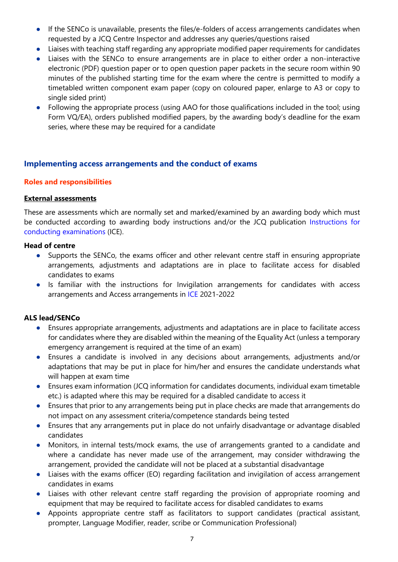- If the SENCo is unavailable, presents the files/e-folders of access arrangements candidates when requested by a JCQ Centre Inspector and addresses any queries/questions raised
- Liaises with teaching staff regarding any appropriate modified paper requirements for candidates
- Liaises with the SENCo to ensure arrangements are in place to either order a non-interactive electronic (PDF) question paper or to open question paper packets in the secure room within 90 minutes of the published starting time for the exam where the centre is permitted to modify a timetabled written component exam paper (copy on coloured paper, enlarge to A3 or copy to single sided print)
- Following the appropriate process (using AAO for those qualifications included in the tool; using Form VQ/EA), orders published modified papers, by the awarding body's deadline for the exam series, where these may be required for a candidate

#### Implementing access arrangements and the conduct of exams

#### Roles and responsibilities

#### External assessments

These are assessments which are normally set and marked/examined by an awarding body which must be conducted according to awarding body instructions and/or the JCQ publication Instructions for conducting examinations (ICE).

#### Head of centre

- Supports the SENCo, the exams officer and other relevant centre staff in ensuring appropriate arrangements, adjustments and adaptations are in place to facilitate access for disabled candidates to exams
- Is familiar with the instructions for Invigilation arrangements for candidates with access arrangements and Access arrangements in ICE 2021-2022

#### ALS lead/SENCo

- Ensures appropriate arrangements, adjustments and adaptations are in place to facilitate access for candidates where they are disabled within the meaning of the Equality Act (unless a temporary emergency arrangement is required at the time of an exam)
- Ensures a candidate is involved in any decisions about arrangements, adjustments and/or adaptations that may be put in place for him/her and ensures the candidate understands what will happen at exam time
- Ensures exam information (JCQ information for candidates documents, individual exam timetable etc.) is adapted where this may be required for a disabled candidate to access it
- Ensures that prior to any arrangements being put in place checks are made that arrangements do not impact on any assessment criteria/competence standards being tested
- Ensures that any arrangements put in place do not unfairly disadvantage or advantage disabled candidates
- Monitors, in internal tests/mock exams, the use of arrangements granted to a candidate and where a candidate has never made use of the arrangement, may consider withdrawing the arrangement, provided the candidate will not be placed at a substantial disadvantage
- Liaises with the exams officer (EO) regarding facilitation and invigilation of access arrangement candidates in exams
- Liaises with other relevant centre staff regarding the provision of appropriate rooming and equipment that may be required to facilitate access for disabled candidates to exams
- Appoints appropriate centre staff as facilitators to support candidates (practical assistant, prompter, Language Modifier, reader, scribe or Communication Professional)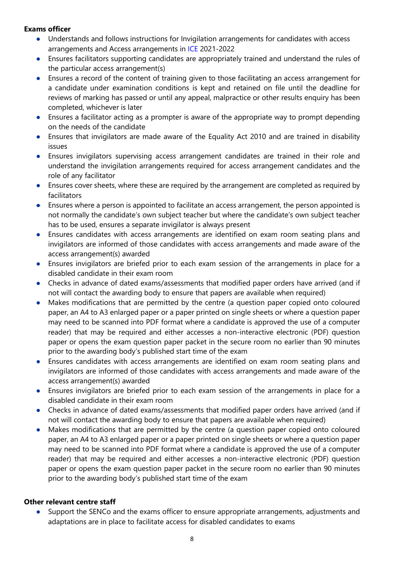#### Exams officer

- Understands and follows instructions for Invigilation arrangements for candidates with access arrangements and Access arrangements in ICE 2021-2022
- Ensures facilitators supporting candidates are appropriately trained and understand the rules of the particular access arrangement(s)
- Ensures a record of the content of training given to those facilitating an access arrangement for a candidate under examination conditions is kept and retained on file until the deadline for reviews of marking has passed or until any appeal, malpractice or other results enquiry has been completed, whichever is later
- Ensures a facilitator acting as a prompter is aware of the appropriate way to prompt depending on the needs of the candidate
- Ensures that invigilators are made aware of the Equality Act 2010 and are trained in disability issues
- Ensures invigilators supervising access arrangement candidates are trained in their role and understand the invigilation arrangements required for access arrangement candidates and the role of any facilitator
- Ensures cover sheets, where these are required by the arrangement are completed as required by facilitators
- Ensures where a person is appointed to facilitate an access arrangement, the person appointed is not normally the candidate's own subject teacher but where the candidate's own subject teacher has to be used, ensures a separate invigilator is always present
- Ensures candidates with access arrangements are identified on exam room seating plans and invigilators are informed of those candidates with access arrangements and made aware of the access arrangement(s) awarded
- Ensures invigilators are briefed prior to each exam session of the arrangements in place for a disabled candidate in their exam room
- Checks in advance of dated exams/assessments that modified paper orders have arrived (and if not will contact the awarding body to ensure that papers are available when required)
- Makes modifications that are permitted by the centre (a question paper copied onto coloured paper, an A4 to A3 enlarged paper or a paper printed on single sheets or where a question paper may need to be scanned into PDF format where a candidate is approved the use of a computer reader) that may be required and either accesses a non-interactive electronic (PDF) question paper or opens the exam question paper packet in the secure room no earlier than 90 minutes prior to the awarding body's published start time of the exam
- Ensures candidates with access arrangements are identified on exam room seating plans and invigilators are informed of those candidates with access arrangements and made aware of the access arrangement(s) awarded
- Ensures invigilators are briefed prior to each exam session of the arrangements in place for a disabled candidate in their exam room
- Checks in advance of dated exams/assessments that modified paper orders have arrived (and if not will contact the awarding body to ensure that papers are available when required)
- Makes modifications that are permitted by the centre (a question paper copied onto coloured paper, an A4 to A3 enlarged paper or a paper printed on single sheets or where a question paper may need to be scanned into PDF format where a candidate is approved the use of a computer reader) that may be required and either accesses a non-interactive electronic (PDF) question paper or opens the exam question paper packet in the secure room no earlier than 90 minutes prior to the awarding body's published start time of the exam

#### Other relevant centre staff

● Support the SENCo and the exams officer to ensure appropriate arrangements, adjustments and adaptations are in place to facilitate access for disabled candidates to exams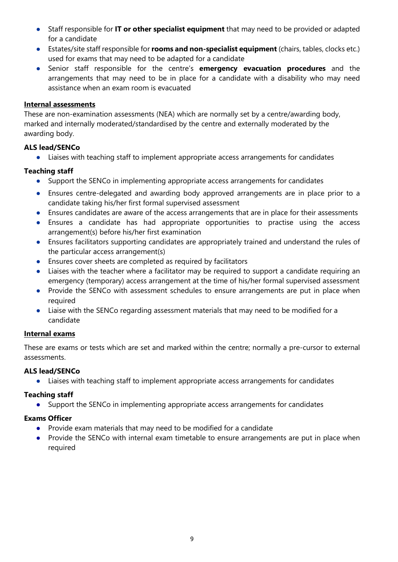- Staff responsible for IT or other specialist equipment that may need to be provided or adapted for a candidate
- Estates/site staff responsible for **rooms and non-specialist equipment** (chairs, tables, clocks etc.) used for exams that may need to be adapted for a candidate
- Senior staff responsible for the centre's emergency evacuation procedures and the arrangements that may need to be in place for a candidate with a disability who may need assistance when an exam room is evacuated

#### Internal assessments

These are non-examination assessments (NEA) which are normally set by a centre/awarding body, marked and internally moderated/standardised by the centre and externally moderated by the awarding body.

# ALS lead/SENCo

● Liaises with teaching staff to implement appropriate access arrangements for candidates

# Teaching staff

- Support the SENCo in implementing appropriate access arrangements for candidates
- Ensures centre-delegated and awarding body approved arrangements are in place prior to a candidate taking his/her first formal supervised assessment
- Ensures candidates are aware of the access arrangements that are in place for their assessments
- Ensures a candidate has had appropriate opportunities to practise using the access arrangement(s) before his/her first examination
- Ensures facilitators supporting candidates are appropriately trained and understand the rules of the particular access arrangement(s)
- Ensures cover sheets are completed as required by facilitators
- Liaises with the teacher where a facilitator may be required to support a candidate requiring an emergency (temporary) access arrangement at the time of his/her formal supervised assessment
- Provide the SENCo with assessment schedules to ensure arrangements are put in place when required
- Liaise with the SENCo regarding assessment materials that may need to be modified for a candidate

#### Internal exams

These are exams or tests which are set and marked within the centre; normally a pre-cursor to external assessments.

# ALS lead/SENCo

● Liaises with teaching staff to implement appropriate access arrangements for candidates

# Teaching staff

● Support the SENCo in implementing appropriate access arrangements for candidates

# Exams Officer

- Provide exam materials that may need to be modified for a candidate
- Provide the SENCo with internal exam timetable to ensure arrangements are put in place when required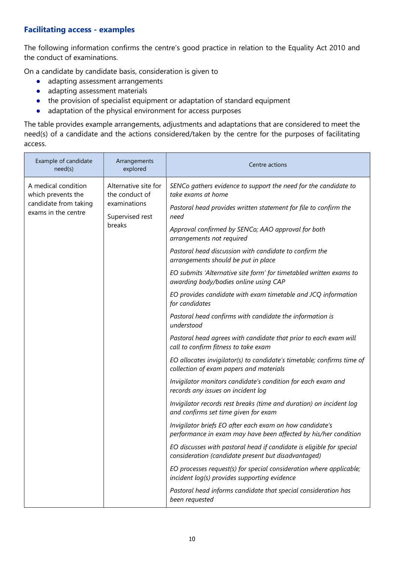#### Facilitating access - examples

The following information confirms the centre's good practice in relation to the Equality Act 2010 and the conduct of examinations.

On a candidate by candidate basis, consideration is given to

- adapting assessment arrangements
- adapting assessment materials
- the provision of specialist equipment or adaptation of standard equipment
- adaptation of the physical environment for access purposes

The table provides example arrangements, adjustments and adaptations that are considered to meet the need(s) of a candidate and the actions considered/taken by the centre for the purposes of facilitating access.

| Example of candidate<br>need(s)                                                                                                                                                  | Arrangements<br>explored                                                                                                    | Centre actions                                                                        |
|----------------------------------------------------------------------------------------------------------------------------------------------------------------------------------|-----------------------------------------------------------------------------------------------------------------------------|---------------------------------------------------------------------------------------|
| Alternative site for<br>A medical condition<br>the conduct of<br>which prevents the<br>candidate from taking<br>examinations<br>exams in the centre<br>Supervised rest<br>breaks |                                                                                                                             | SENCo gathers evidence to support the need for the candidate to<br>take exams at home |
|                                                                                                                                                                                  | Pastoral head provides written statement for file to confirm the<br>need                                                    |                                                                                       |
|                                                                                                                                                                                  | Approval confirmed by SENCo; AAO approval for both<br>arrangements not required                                             |                                                                                       |
|                                                                                                                                                                                  | Pastoral head discussion with candidate to confirm the<br>arrangements should be put in place                               |                                                                                       |
|                                                                                                                                                                                  | EO submits 'Alternative site form' for timetabled written exams to<br>awarding body/bodies online using CAP                 |                                                                                       |
|                                                                                                                                                                                  | EO provides candidate with exam timetable and JCQ information<br>for candidates                                             |                                                                                       |
|                                                                                                                                                                                  | Pastoral head confirms with candidate the information is<br>understood                                                      |                                                                                       |
|                                                                                                                                                                                  | Pastoral head agrees with candidate that prior to each exam will<br>call to confirm fitness to take exam                    |                                                                                       |
|                                                                                                                                                                                  | EO allocates invigilator(s) to candidate's timetable; confirms time of<br>collection of exam papers and materials           |                                                                                       |
|                                                                                                                                                                                  | Invigilator monitors candidate's condition for each exam and<br>records any issues on incident log                          |                                                                                       |
|                                                                                                                                                                                  | Invigilator records rest breaks (time and duration) on incident log<br>and confirms set time given for exam                 |                                                                                       |
|                                                                                                                                                                                  | Invigilator briefs EO after each exam on how candidate's<br>performance in exam may have been affected by his/her condition |                                                                                       |
|                                                                                                                                                                                  | EO discusses with pastoral head if candidate is eligible for special<br>consideration (candidate present but disadvantaged) |                                                                                       |
|                                                                                                                                                                                  | EO processes request(s) for special consideration where applicable;<br>incident log(s) provides supporting evidence         |                                                                                       |
|                                                                                                                                                                                  | Pastoral head informs candidate that special consideration has<br>been requested                                            |                                                                                       |